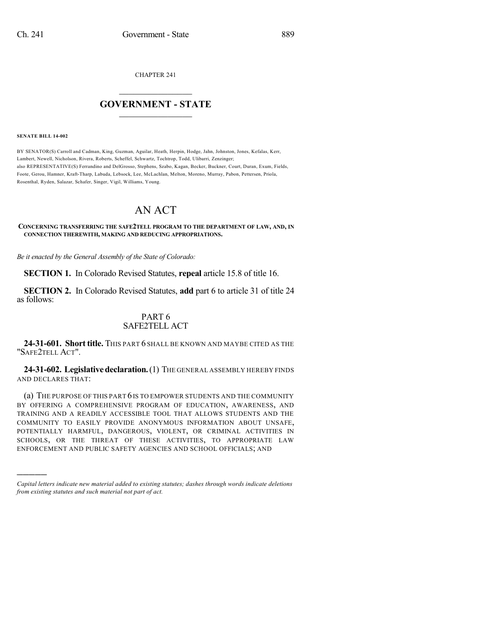CHAPTER 241

## $\overline{\phantom{a}}$  . The set of the set of the set of the set of the set of the set of the set of the set of the set of the set of the set of the set of the set of the set of the set of the set of the set of the set of the set o **GOVERNMENT - STATE**  $\_$

**SENATE BILL 14-002**

)))))

BY SENATOR(S) Carroll and Cadman, King, Guzman, Aguilar, Heath, Herpin, Hodge, Jahn, Johnston, Jones, Kefalas, Kerr, Lambert, Newell, Nicholson, Rivera, Roberts, Scheffel, Schwartz, Tochtrop, Todd, Ulibarri, Zenzinger; also REPRESENTATIVE(S) Ferrandino and DelGrosso, Stephens, Szabo, Kagan, Becker, Buckner, Court, Duran, Exum, Fields, Foote, Gerou, Hamner, Kraft-Tharp, Labuda, Lebsock, Lee, McLachlan, Melton, Moreno, Murray, Pabon, Pettersen, Priola, Rosenthal, Ryden, Salazar, Schafer, Singer, Vigil, Williams, Young.

## AN ACT

**CONCERNING TRANSFERRING THE SAFE2TELL PROGRAM TO THE DEPARTMENT OF LAW, AND, IN CONNECTION THEREWITH, MAKING AND REDUCING APPROPRIATIONS.**

*Be it enacted by the General Assembly of the State of Colorado:*

**SECTION 1.** In Colorado Revised Statutes, **repeal** article 15.8 of title 16.

**SECTION 2.** In Colorado Revised Statutes, **add** part 6 to article 31 of title 24 as follows:

## PART 6 SAFE2TELL ACT

**24-31-601. Short title.** THIS PART 6 SHALL BE KNOWN AND MAYBE CITED AS THE "SAFE2TELL ACT".

**24-31-602. Legislativedeclaration.**(1) THE GENERAL ASSEMBLY HEREBY FINDS AND DECLARES THAT:

(a) THE PURPOSE OF THIS PART 6IS TO EMPOWER STUDENTS AND THE COMMUNITY BY OFFERING A COMPREHENSIVE PROGRAM OF EDUCATION, AWARENESS, AND TRAINING AND A READILY ACCESSIBLE TOOL THAT ALLOWS STUDENTS AND THE COMMUNITY TO EASILY PROVIDE ANONYMOUS INFORMATION ABOUT UNSAFE, POTENTIALLY HARMFUL, DANGEROUS, VIOLENT, OR CRIMINAL ACTIVITIES IN SCHOOLS, OR THE THREAT OF THESE ACTIVITIES, TO APPROPRIATE LAW ENFORCEMENT AND PUBLIC SAFETY AGENCIES AND SCHOOL OFFICIALS; AND

*Capital letters indicate new material added to existing statutes; dashes through words indicate deletions from existing statutes and such material not part of act.*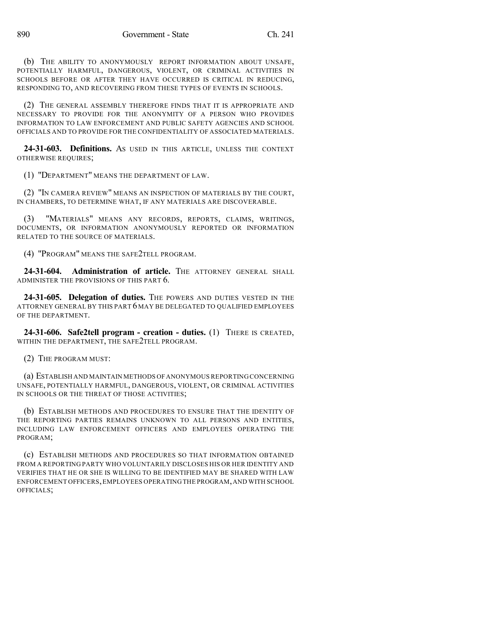(b) THE ABILITY TO ANONYMOUSLY REPORT INFORMATION ABOUT UNSAFE, POTENTIALLY HARMFUL, DANGEROUS, VIOLENT, OR CRIMINAL ACTIVITIES IN SCHOOLS BEFORE OR AFTER THEY HAVE OCCURRED IS CRITICAL IN REDUCING, RESPONDING TO, AND RECOVERING FROM THESE TYPES OF EVENTS IN SCHOOLS.

(2) THE GENERAL ASSEMBLY THEREFORE FINDS THAT IT IS APPROPRIATE AND NECESSARY TO PROVIDE FOR THE ANONYMITY OF A PERSON WHO PROVIDES INFORMATION TO LAW ENFORCEMENT AND PUBLIC SAFETY AGENCIES AND SCHOOL OFFICIALS AND TO PROVIDE FOR THE CONFIDENTIALITY OF ASSOCIATED MATERIALS.

**24-31-603. Definitions.** AS USED IN THIS ARTICLE, UNLESS THE CONTEXT OTHERWISE REQUIRES;

(1) "DEPARTMENT" MEANS THE DEPARTMENT OF LAW.

(2) "IN CAMERA REVIEW" MEANS AN INSPECTION OF MATERIALS BY THE COURT, IN CHAMBERS, TO DETERMINE WHAT, IF ANY MATERIALS ARE DISCOVERABLE.

(3) "MATERIALS" MEANS ANY RECORDS, REPORTS, CLAIMS, WRITINGS, DOCUMENTS, OR INFORMATION ANONYMOUSLY REPORTED OR INFORMATION RELATED TO THE SOURCE OF MATERIALS.

(4) "PROGRAM" MEANS THE SAFE2TELL PROGRAM.

**24-31-604. Administration of article.** THE ATTORNEY GENERAL SHALL ADMINISTER THE PROVISIONS OF THIS PART 6.

**24-31-605. Delegation of duties.** THE POWERS AND DUTIES VESTED IN THE ATTORNEY GENERAL BY THIS PART 6 MAY BE DELEGATED TO QUALIFIED EMPLOYEES OF THE DEPARTMENT.

**24-31-606. Safe2tell program - creation - duties.** (1) THERE IS CREATED, WITHIN THE DEPARTMENT, THE SAFE2TELL PROGRAM.

(2) THE PROGRAM MUST:

(a) ESTABLISH AND MAINTAIN METHODS OFANONYMOUS REPORTINGCONCERNING UNSAFE, POTENTIALLY HARMFUL, DANGEROUS, VIOLENT, OR CRIMINAL ACTIVITIES IN SCHOOLS OR THE THREAT OF THOSE ACTIVITIES;

(b) ESTABLISH METHODS AND PROCEDURES TO ENSURE THAT THE IDENTITY OF THE REPORTING PARTIES REMAINS UNKNOWN TO ALL PERSONS AND ENTITIES, INCLUDING LAW ENFORCEMENT OFFICERS AND EMPLOYEES OPERATING THE PROGRAM;

(c) ESTABLISH METHODS AND PROCEDURES SO THAT INFORMATION OBTAINED FROM A REPORTING PARTY WHO VOLUNTARILY DISCLOSES HIS OR HER IDENTITY AND VERIFIES THAT HE OR SHE IS WILLING TO BE IDENTIFIED MAY BE SHARED WITH LAW ENFORCEMENT OFFICERS,EMPLOYEES OPERATING THE PROGRAM,AND WITH SCHOOL OFFICIALS;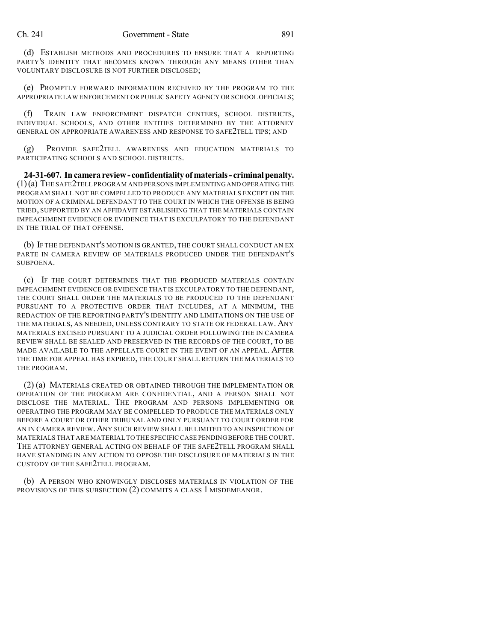(d) ESTABLISH METHODS AND PROCEDURES TO ENSURE THAT A REPORTING PARTY'S IDENTITY THAT BECOMES KNOWN THROUGH ANY MEANS OTHER THAN VOLUNTARY DISCLOSURE IS NOT FURTHER DISCLOSED;

(e) PROMPTLY FORWARD INFORMATION RECEIVED BY THE PROGRAM TO THE APPROPRIATE LAW ENFORCEMENT OR PUBLIC SAFETY AGENCY OR SCHOOL OFFICIALS;

(f) TRAIN LAW ENFORCEMENT DISPATCH CENTERS, SCHOOL DISTRICTS, INDIVIDUAL SCHOOLS, AND OTHER ENTITIES DETERMINED BY THE ATTORNEY GENERAL ON APPROPRIATE AWARENESS AND RESPONSE TO SAFE2TELL TIPS; AND

(g) PROVIDE SAFE2TELL AWARENESS AND EDUCATION MATERIALS TO PARTICIPATING SCHOOLS AND SCHOOL DISTRICTS.

**24-31-607. Incamerareview- confidentialityofmaterials- criminalpenalty.** (1)(a) THE SAFE2TELL PROGRAM AND PERSONS IMPLEMENTINGAND OPERATING THE PROGRAM SHALL NOT BE COMPELLED TO PRODUCE ANY MATERIALS EXCEPT ON THE MOTION OF A CRIMINAL DEFENDANT TO THE COURT IN WHICH THE OFFENSE IS BEING TRIED, SUPPORTED BY AN AFFIDAVIT ESTABLISHING THAT THE MATERIALS CONTAIN IMPEACHMENT EVIDENCE OR EVIDENCE THAT IS EXCULPATORY TO THE DEFENDANT IN THE TRIAL OF THAT OFFENSE.

(b) IF THE DEFENDANT'S MOTION IS GRANTED, THE COURT SHALL CONDUCT AN EX PARTE IN CAMERA REVIEW OF MATERIALS PRODUCED UNDER THE DEFENDANT'S SUBPOENA.

(c) IF THE COURT DETERMINES THAT THE PRODUCED MATERIALS CONTAIN IMPEACHMENT EVIDENCE OR EVIDENCE THAT IS EXCULPATORY TO THE DEFENDANT, THE COURT SHALL ORDER THE MATERIALS TO BE PRODUCED TO THE DEFENDANT PURSUANT TO A PROTECTIVE ORDER THAT INCLUDES, AT A MINIMUM, THE REDACTION OF THE REPORTING PARTY'S IDENTITY AND LIMITATIONS ON THE USE OF THE MATERIALS, AS NEEDED, UNLESS CONTRARY TO STATE OR FEDERAL LAW. ANY MATERIALS EXCISED PURSUANT TO A JUDICIAL ORDER FOLLOWING THE IN CAMERA REVIEW SHALL BE SEALED AND PRESERVED IN THE RECORDS OF THE COURT, TO BE MADE AVAILABLE TO THE APPELLATE COURT IN THE EVENT OF AN APPEAL. AFTER THE TIME FOR APPEAL HAS EXPIRED, THE COURT SHALL RETURN THE MATERIALS TO THE PROGRAM.

(2) (a) MATERIALS CREATED OR OBTAINED THROUGH THE IMPLEMENTATION OR OPERATION OF THE PROGRAM ARE CONFIDENTIAL, AND A PERSON SHALL NOT DISCLOSE THE MATERIAL. THE PROGRAM AND PERSONS IMPLEMENTING OR OPERATING THE PROGRAM MAY BE COMPELLED TO PRODUCE THE MATERIALS ONLY BEFORE A COURT OR OTHER TRIBUNAL AND ONLY PURSUANT TO COURT ORDER FOR AN IN CAMERA REVIEW.ANY SUCH REVIEW SHALL BE LIMITED TO AN INSPECTION OF MATERIALS THAT ARE MATERIAL TO THE SPECIFIC CASE PENDINGBEFORE THE COURT. THE ATTORNEY GENERAL ACTING ON BEHALF OF THE SAFE2TELL PROGRAM SHALL HAVE STANDING IN ANY ACTION TO OPPOSE THE DISCLOSURE OF MATERIALS IN THE CUSTODY OF THE SAFE2TELL PROGRAM.

(b) A PERSON WHO KNOWINGLY DISCLOSES MATERIALS IN VIOLATION OF THE PROVISIONS OF THIS SUBSECTION (2) COMMITS A CLASS 1 MISDEMEANOR.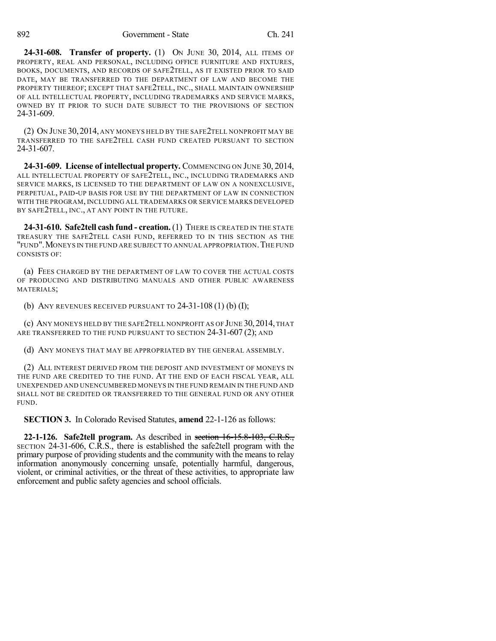**24-31-608. Transfer of property.** (1) ON JUNE 30, 2014, ALL ITEMS OF PROPERTY, REAL AND PERSONAL, INCLUDING OFFICE FURNITURE AND FIXTURES, BOOKS, DOCUMENTS, AND RECORDS OF SAFE2TELL, AS IT EXISTED PRIOR TO SAID DATE, MAY BE TRANSFERRED TO THE DEPARTMENT OF LAW AND BECOME THE PROPERTY THEREOF; EXCEPT THAT SAFE2TELL, INC., SHALL MAINTAIN OWNERSHIP OF ALL INTELLECTUAL PROPERTY, INCLUDING TRADEMARKS AND SERVICE MARKS, OWNED BY IT PRIOR TO SUCH DATE SUBJECT TO THE PROVISIONS OF SECTION 24-31-609.

(2) ON JUNE 30,2014, ANY MONEYS HELD BY THE SAFE2TELL NONPROFIT MAY BE TRANSFERRED TO THE SAFE2TELL CASH FUND CREATED PURSUANT TO SECTION 24-31-607.

**24-31-609. License of intellectual property.** COMMENCING ON JUNE 30, 2014, ALL INTELLECTUAL PROPERTY OF SAFE2TELL, INC., INCLUDING TRADEMARKS AND SERVICE MARKS, IS LICENSED TO THE DEPARTMENT OF LAW ON A NONEXCLUSIVE, PERPETUAL, PAID-UP BASIS FOR USE BY THE DEPARTMENT OF LAW IN CONNECTION WITH THE PROGRAM, INCLUDING ALL TRADEMARKS OR SERVICE MARKS DEVELOPED BY SAFE2TELL, INC., AT ANY POINT IN THE FUTURE.

**24-31-610. Safe2tell cash fund - creation.** (1) THERE IS CREATED IN THE STATE TREASURY THE SAFE2TELL CASH FUND, REFERRED TO IN THIS SECTION AS THE "FUND".MONEYS IN THE FUND ARE SUBJECT TO ANNUAL APPROPRIATION.THE FUND CONSISTS OF:

(a) FEES CHARGED BY THE DEPARTMENT OF LAW TO COVER THE ACTUAL COSTS OF PRODUCING AND DISTRIBUTING MANUALS AND OTHER PUBLIC AWARENESS MATERIALS;

(b) ANY REVENUES RECEIVED PURSUANT TO 24-31-108 (1) (b) (I);

(c) ANY MONEYS HELD BY THE SAFE2TELL NONPROFIT AS OF JUNE 30,2014, THAT ARE TRANSFERRED TO THE FUND PURSUANT TO SECTION 24-31-607 (2); AND

(d) ANY MONEYS THAT MAY BE APPROPRIATED BY THE GENERAL ASSEMBLY.

(2) ALL INTEREST DERIVED FROM THE DEPOSIT AND INVESTMENT OF MONEYS IN THE FUND ARE CREDITED TO THE FUND. AT THE END OF EACH FISCAL YEAR, ALL UNEXPENDED AND UNENCUMBERED MONEYS IN THE FUND REMAIN IN THE FUND AND SHALL NOT BE CREDITED OR TRANSFERRED TO THE GENERAL FUND OR ANY OTHER FUND.

**SECTION 3.** In Colorado Revised Statutes, **amend** 22-1-126 as follows:

**22-1-126. Safe2tell program.** As described in section 16-15.8-103, C.R.S., SECTION 24-31-606, C.R.S., there is established the safe2tell program with the primary purpose of providing students and the community with the means to relay information anonymously concerning unsafe, potentially harmful, dangerous, violent, or criminal activities, or the threat of these activities, to appropriate law enforcement and public safety agencies and school officials.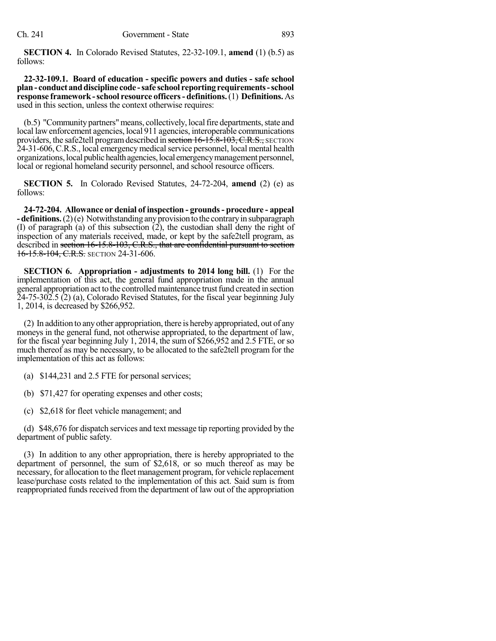**SECTION 4.** In Colorado Revised Statutes, 22-32-109.1, **amend** (1) (b.5) as follows:

**22-32-109.1. Board of education - specific powers and duties - safe school plan- conduct anddiscipline code -safe school reporting requirements-school response framework-school resource officers- definitions.**(1) **Definitions.** As used in this section, unless the context otherwise requires:

(b.5) "Community partners" means, collectively, local fire departments, state and local law enforcement agencies, local 911 agencies, interoperable communications providers, the safe2tell program described in section  $16-15.8-103$ , C.R.S., SECTION 24-31-606,C.R.S., local emergency medicalservice personnel, local mental health organizations, local public health agencies, local emergency management personnel, local or regional homeland security personnel, and school resource officers.

**SECTION 5.** In Colorado Revised Statutes, 24-72-204, **amend** (2) (e) as follows:

**24-72-204. Allowance or denial of inspection - grounds- procedure - appeal -definitions.** (2)(e) Notwithstanding any provision to the contrary in subparagraph (I) of paragraph (a) of this subsection (2), the custodian shall deny the right of inspection of any materials received, made, or kept by the safe2tell program, as described in section 16-15.8-103, C.R.S., that are confidential pursuant to section 16-15.8-104, C.R.S. SECTION 24-31-606.

**SECTION 6. Appropriation - adjustments to 2014 long bill.** (1) For the implementation of this act, the general fund appropriation made in the annual general appropriation act to the controlled maintenance trust fund created in section 24-75-302.5 (2) (a), Colorado Revised Statutes, for the fiscal year beginning July 1, 2014, is decreased by \$266,952.

(2) In addition to anyother appropriation, there is herebyappropriated, out of any moneys in the general fund, not otherwise appropriated, to the department of law, for the fiscal year beginning July 1, 2014, the sum of \$266,952 and 2.5 FTE, or so much thereof as may be necessary, to be allocated to the safe2tell program for the implementation of this act as follows:

- (a) \$144,231 and 2.5 FTE for personal services;
- (b) \$71,427 for operating expenses and other costs;
- (c) \$2,618 for fleet vehicle management; and

(d) \$48,676 for dispatch services and text message tip reporting provided by the department of public safety.

(3) In addition to any other appropriation, there is hereby appropriated to the department of personnel, the sum of \$2,618, or so much thereof as may be necessary, for allocation to the fleet management program, for vehicle replacement lease/purchase costs related to the implementation of this act. Said sum is from reappropriated funds received from the department of law out of the appropriation